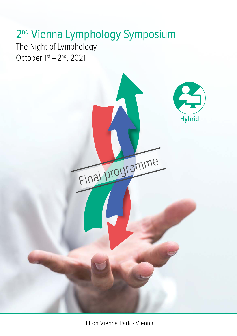# 2<sup>nd</sup> Vienna Lymphology Symposium

The Night of Lymphology October 1st – 2nd, 2021

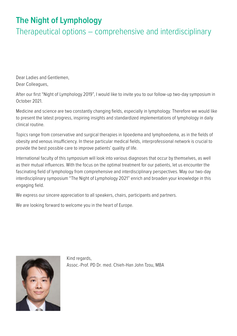### **The Night of Lymphology**

Therapeutical options – comprehensive and interdisciplinary

Dear Ladies and Gentlemen, Dear Colleagues,

After our first "Night of Lymphology 2019", I would like to invite you to our follow-up two-day symposium in October 2021.

Medicine and science are two constantly changing fields, especially in lymphology. Therefore we would like to present the latest progress, inspiring insights and standardized implementations of lymphology in daily clinical routine.

Topics range from conservative and surgical therapies in lipoedema and lymphoedema, as in the fields of obesity and venous insufficiency. In these particular medical fields, interprofessional network is crucial to provide the best possible care to improve patients' quality of life.

International faculty of this symposium will look into various diagnoses that occur by themselves, as well as their mutual influences. With the focus on the optimal treatment for our patients, let us encounter the fascinating field of lymphology from comprehensive and interdisciplinary perspectives. May our two-day interdisciplinary symposium "The Night of Lymphology 2021" enrich and broaden your knowledge in this engaging field.

We express our sincere appreciation to all speakers, chairs, participants and partners.

We are looking forward to welcome you in the heart of Europe.



Kind regards, Assoc.-Prof. PD Dr. med. Chieh-Han John Tzou, MBA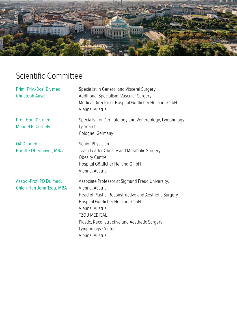

## Scientific Committee

| Prim. Priv.-Doz. Dr. med.<br><b>Christoph Ausch</b>  | Specialist in General and Visceral Surgery<br>Additional Specialism: Vascular Surgery<br>Medical Director of Hospital Göttlicher Heiland GmbH<br>Vienna, Austria                                                                                                                              |
|------------------------------------------------------|-----------------------------------------------------------------------------------------------------------------------------------------------------------------------------------------------------------------------------------------------------------------------------------------------|
| Prof. Hon. Dr. med.<br><b>Manuel E. Cornely</b>      | Specialist for Dermatology and Venereology, Lymphology<br>Ly.Search<br>Cologne, Germany                                                                                                                                                                                                       |
| OA Dr. med.<br><b>Brigitte Obermayer, MBA</b>        | Senior Physician<br>Team Leader Obesity and Metabolic Surgery<br><b>Obesity Centre</b><br>Hospital Göttlicher Heiland GmbH<br>Vienna, Austria                                                                                                                                                 |
| Assoc.-Prof. PD Dr. med.<br>Chieh-Han John Tzou, MBA | Associate Professor at Sigmund Freud University,<br>Vienna, Austria<br>Head of Plastic, Reconstructive and Aesthetic Surgery<br>Hospital Göttlicher Heiland GmbH<br>Vienna, Austria<br>TZOU MEDICAL.<br>Plastic, Reconstructive and Aesthetic Surgery<br>Lymphology Centre<br>Vienna, Austria |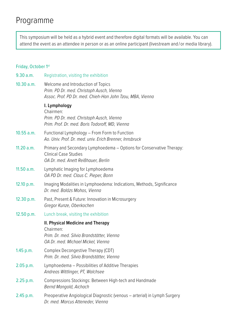### Programme

This symposium will be held as a hybrid event and therefore digital formats will be available. You can attend the event as an attendee in person or as an online participant (livestream and / or media library).

#### Friday, October 1st

| 9.30 a.m.   | Registration, visiting the exhibition                                                                                                        |
|-------------|----------------------------------------------------------------------------------------------------------------------------------------------|
| 10.30 a.m.  | Welcome and Introduction of Topics<br>Prim. PD Dr. med. Christoph Ausch, Vienna<br>Assoc. Prof. PD Dr. med. Chieh-Han John Tzou, MBA, Vienna |
|             | I. Lymphology<br>Chairmen:<br>Prim. PD Dr. med. Christoph Ausch, Vienna<br>Prim. Prof. Dr. med. Boris Todoroff, MD, Vienna                   |
| 10.55 a.m.  | Functional Lymphology - From Form to Function<br>Ao. Univ. Prof. Dr. med. univ. Erich Brenner, Innsbruck                                     |
| 11.20 a.m.  | Primary and Secondary Lymphoedema - Options for Conservative Therapy:<br><b>Clinical Case Studies</b><br>OA Dr. med. Anett Reißhauer, Berlin |
| 11.50 a.m.  | Lymphatic Imaging for Lymphoedema<br>OA PD Dr. med. Claus C. Pieper, Bonn                                                                    |
| 12.10 p.m.  | Imaging Modalities in Lymphoedema: Indications, Methods, Significance<br>Dr. med. Balázs Mohos. Vienna                                       |
| 12.30 p.m.  | Past, Present & Future: Innovation in Microsurgery<br>Gregor Kunze, Oberkochen                                                               |
| 12.50 p.m.  | Lunch break, visiting the exhibition                                                                                                         |
|             | II. Physical Medicine and Therapy<br>Chairmen:<br>Prim. Dr. med. Silvia Brandstätter, Vienna<br>OA Dr. med. Michael Mickel. Vienna           |
| 1.45 p.m.   | Complex Decongestive Therapy (CDT)<br>Prim. Dr. med. Silvia Brandstätter, Vienna                                                             |
| 2.05 p.m.   | Lymphoedema - Possibilities of Additive Therapies<br>Andreas Wittlinger, PT, Walchsee                                                        |
| $2.25$ p.m. | Compressions Stockings: Between High-tech and Handmade<br>Bernd Mangold, Aichach                                                             |
| 2.45 p.m.   | Preoperative Angiological Diagnostic (venous – arterial) in Lymph Surgery<br>Dr. med. Marcus Atteneder, Vienna                               |
|             |                                                                                                                                              |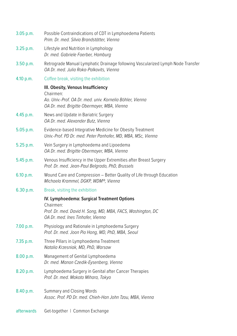| 3.05 p.m.   | Possible Contraindications of CDT in Lymphoedema Patients<br>Prim. Dr. med. Silvia Brandstätter. Vienna                                                      |
|-------------|--------------------------------------------------------------------------------------------------------------------------------------------------------------|
| $3.25$ p.m. | Lifestyle and Nutrition in Lymphology<br>Dr. med. Gabriele Faerber, Hamburg                                                                                  |
| 3.50 p.m.   | Retrograde Manual Lymphatic Drainage following Vascularized Lymph Node Transfer<br>OA Dr. med. Julia Roka-Palkovits, Vienna                                  |
| 4.10 p.m.   | Coffee break, visiting the exhibition                                                                                                                        |
|             | III. Obesity, Venous Insufficiency<br>Chairmen:<br>Ao. Univ.-Prof. OA Dr. med. univ. Kornelia Böhler, Vienna<br>OA Dr. med. Brigitte Obermayer, MBA, Vienna  |
| $4.45$ p.m. | News and Update in Bariatric Surgery<br>OA Dr. med. Alexander Butz, Vienna                                                                                   |
| 5.05 p.m.   | Evidence-based Integrative Medicine for Obesity Treatment<br>Univ.-Prof. PD Dr. med. Peter Panhofer, MD, MBA, MSc, Vienna                                    |
| 5.25 p.m.   | Vein Surgery in Lymphoedema and Lipoedema<br>OA Dr. med. Brigitte Obermayer, MBA, Vienna                                                                     |
| 5.45 p.m.   | Venous Insufficiency in the Upper Extremities after Breast Surgery<br>Prof. Dr. med. Jean-Paul Belgrado, PhD, Brussels                                       |
| 6.10 p.m.   | Wound Care and Compression – Better Quality of Life through Education<br>Michaela Krammel, DGKP, WDM®, Vienna                                                |
| 6.30 p.m.   | Break, visiting the exhibition                                                                                                                               |
|             | IV. Lymphoedema: Surgical Treatment Options<br>Chairmen:<br>Prof. Dr. med. David H. Song, MD, MBA, FACS, Washington, DC<br>OA Dr. med. Ines Tinhofer, Vienna |
| 7.00 p.m.   | Physiology and Rationale in Lymphoedema Surgery<br>Prof. Dr. med. Joon Pio Hong, MD, PhD, MBA, Seoul                                                         |
| $7.35$ p.m. | Three Pillars in Lymphoedema Treatment<br>Natalia Krzesniak, MD, PhD, Warsaw                                                                                 |
| 8.00 p.m.   | Management of Genital Lymphoedema<br>Dr. med. Manon Czedik-Eysenberg, Vienna                                                                                 |
| 8.20 p.m.   | Lymphoedema Surgery in Genital after Cancer Therapies<br>Prof. Dr. med. Makoto Mihara, Tokyo                                                                 |
| 8.40 p.m.   | Summary and Closing Words<br>Assoc. Prof. PD Dr. med. Chieh-Han John Tzou, MBA, Vienna                                                                       |
| afterwards  | Get-together   Common Exchange                                                                                                                               |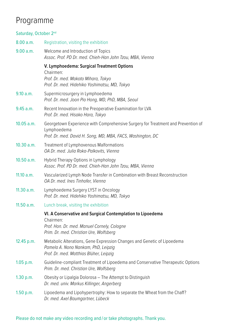### Programme

#### Saturday, October 2nd 8.00 a.m. Registration, visiting the exhibition 9.00 a.m. Welcome and Introduction of Topics *Assoc. Prof. PD Dr. med. Chieh-Han John Tzou, MBA, Vienna* **V. Lymphoedema: Surgical Treatment Options**  Chairmen: *Prof. Dr. med. Makoto Mihara, Tokyo Prof. Dr. med. Hidehiko Yoshimatsu, MD, Tokyo* 9.10 a.m. Supermicrosurgery in Lymphoedema *Prof. Dr. med. Joon Pio Hong, MD, PhD, MBA, Seoul* 9.45 a.m. Recent Innovation in the Preoperative Examination for LVA *Prof. Dr. med. Hisako Hara, Tokyo* 10.05 a.m. Georgetown Experience with Comprehensive Surgery for Treatment and Prevention of Lymphoedema *Prof. Dr. med. David H. Song, MD, MBA, FACS, Washington, DC* 10.30 a.m. Treatment of Lymphovenous Malformations *OA Dr. med. Julia Roka-Palkovits, Vienna* 10.50 a.m. Hybrid Therapy Options in Lymphology *Assoc. Prof. PD Dr. med. Chieh-Han John Tzou, MBA, Vienna* 11.10 a.m. Vascularized Lymph Node Transfer in Combination with Breast Reconstruction *OA Dr. med. Ines Tinhofer, Vienna* 11.30 a.m. Lymphoedema Surgery LYST in Oncology *Prof. Dr. med. Hidehiko Yoshimatsu, MD, Tokyo* 11.50 a.m. Lunch break, visiting the exhibition **VI. A Conservative and Surgical Contemplation to Lipoedema** Chairmen: *Prof. Hon. Dr. med. Manuel Cornely, Cologne Prim. Dr. med. Christian Ure, Wolfsberg* 12.45 p.m. Metabolic Alterations, Gene Expression Changes and Genetic of Lipoedema *Pamela A. Nono Nankam, PhD, Leipzig Prof. Dr. med. Matthias Blüher, Leipzig* 1.05 p.m. Guideline-compliant Treatment of Lipoedema and Conservative Therapeutic Options *Prim. Dr. med. Christian Ure, Wolfsberg* 1.30 p.m. Obesity or Lipalgia Dolorosa – The Attempt to Distinguish *Dr. med. univ. Markus Killinger, Angerberg* 1.50 p.m. Lipoedema and Lipohypertrophy: How to separate the Wheat from the Chaff? *Dr. med. Axel Baumgartner, Lübeck*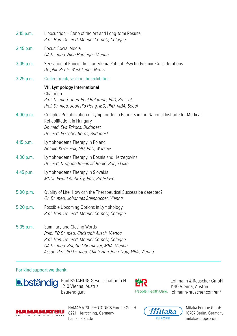| 2.15 p.m. | Liposuction - State of the Art and Long-term Results<br>Prof. Hon. Dr. med. Manuel Cornely, Cologne                                                                                                                               |
|-----------|-----------------------------------------------------------------------------------------------------------------------------------------------------------------------------------------------------------------------------------|
| 2.45 p.m. | Focus: Social Media<br>OA Dr. med. Nina Hüttinger, Vienna                                                                                                                                                                         |
| 3.05 p.m. | Sensation of Pain in the Lipoedema Patient. Psychodynamic Considerations<br>Dr. phil. Beate West-Leuer, Neuss                                                                                                                     |
| 3.25 p.m. | Coffee break, visiting the exhibition                                                                                                                                                                                             |
|           | <b>VII. Lympology International</b><br>Chairmen:<br>Prof. Dr. med. Jean-Paul Belgrado, PhD, Brussels<br>Prof. Dr. med. Joon Pio Hong, MD, PhD, MBA, Seoul                                                                         |
| 4.00 p.m. | Complex Rehabilitation of Lymphoedema Patients in the National Institute for Medical<br>Rehabilitation, in Hungary<br>Dr. med. Eva Takacs, Budapest<br>Dr. med. Erzsebet Boros, Budapest                                          |
| 4.15 p.m. | Lymphoedema Therapy in Poland<br>Natalia Krzesniak, MD, PhD, Warsaw                                                                                                                                                               |
| 4.30 p.m. | Lymphoedema Therapy in Bosnia and Herzegovina<br>Dr. med. Dragana Bojinović-Rodić, Banja Luka                                                                                                                                     |
| 4.45 p.m. | Lymphoedema Therapy in Slovakia<br>MUDr. Ewald Ambrózy, PhD, Bratislava                                                                                                                                                           |
| 5.00 p.m. | Quality of Life: How can the Therapeutical Success be detected?<br>OA Dr. med. Johannes Steinbacher, Vienna                                                                                                                       |
| 5.20 p.m. | Possible Upcoming Options in Lymphology<br>Prof. Hon. Dr. med. Manuel Cornely, Cologne                                                                                                                                            |
| 5.35 p.m. | Summary and Closing Words<br>Prim. PD Dr. med. Christoph Ausch, Vienna<br>Prof. Hon. Dr. med. Manuel Cornely, Cologne<br>OA Dr. med. Brigitte Obermayer, MBA, Vienna<br>Assoc. Prof. PD Dr. med. Chieh-Han John Tzou, MBA, Vienna |

#### For kind support we thank:



Paul BSTÄNDIG Gesellschaft m.b.H. 1210 Vienna, Austria [bstaendig.at](http://bstaendig.at)

設

Lohmann & Rauscher GmbH 1140 Vienna, Austria People.Health.Care. Iohmann-rauscher.com/en/



HAMAMATSU PHOTONICS Europe GmbH 82211 Herrsching, Germany [hamamatsu.de](http://hamamatsu.de)



Mitaka Europe GmbH 10707 Berlin, Germany [mitakaeurope.com](http://mitakaeurope.com)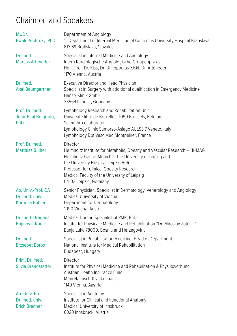## Chairmen and Speakers

| MUDr.<br>Ewald Ambrózy, PhD                               | Department of Angiology<br>1st Department of Internal Medicine of Comenius University Hospital Bratislava<br>813 69 Bratislava, Slovakia                                                                                                                                                                      |
|-----------------------------------------------------------|---------------------------------------------------------------------------------------------------------------------------------------------------------------------------------------------------------------------------------------------------------------------------------------------------------------|
| Dr. med.<br><b>Marcus Atteneder</b>                       | Specialist in Internal Medicine and Angiology<br>Intern Kardiologische Angiologische Gruppenpraxis<br>Hon.-Prof. Dr. Kiss, Dr. Dimopoulos-Xicki, Dr. Atteneder<br>1170 Vienna, Austria                                                                                                                        |
| Dr. med.<br><b>Axel Baumgartner</b>                       | <b>Executive Director and Head Physician</b><br>Specialist in Surgery with additional qualification in Emergency Medicine<br>Hanse-Klinik GmbH<br>23564 Lübeck, Germany                                                                                                                                       |
| Prof. Dr. med.<br>Jean-Paul Belgrado,<br><b>PhD</b>       | Lymphology Research and Rehabilitation Unit<br>Université libre de Bruxelles, 1050 Brussels, Belgium<br>Scientific collaborator:<br>Lymphology Clinic Santorso-Asiago AULSS 7 Veneto, Italy<br>Lymphology Dpt Vasc Med Montpellier, France                                                                    |
| Prof. Dr. med.<br><b>Matthias Blüher</b>                  | Director<br>Helmholtz Institute for Metabolic, Obesity and Vascular Research - HI-MAG<br>Helmholtz Center Munich at the University of Leipzig and<br>the University Hospital Leipzig AöR<br>Professor for Clinical Obesity Research<br>Medical Faculty of the University of Leipzig<br>04103 Leipzig, Germany |
| Ao. Univ.-Prof. OA<br>Dr. med. univ.<br>Kornelia Böhler   | Senior Physician, Specialist in Dermatology, Venerology and Angiology<br>Medical University of Vienna<br>Department for Dermatology<br>1090 Vienna, Austria                                                                                                                                                   |
| Dr. med. Dragana<br>Bojinović-Rodić                       | Medical Doctor, Specialist of PMR, PhD<br>Institut for Physicale Medicine and Rehabilitation "Dr. Miroslav Zotović"<br>Banja Luka 78000, Bosnia and Herzegovina                                                                                                                                               |
| Dr. med.<br><b>Erzsebet Boros</b>                         | Specialist in Rehabilitation Medicine, Head of Department<br>National Institute for Medical Rehabilitation<br>Budapest, Hungary                                                                                                                                                                               |
| Prim. Dr. med.<br>Silvia Brandstätter                     | Director<br>Institute for Physical Medicine and Rehabilitation & Physikoverbund<br>Austrian Health Insurance Fund<br>Mein Hanusch-Krankenhaus<br>1140 Vienna, Austria                                                                                                                                         |
| Ao. Univ. Prof.<br>Dr. med. univ.<br><b>Erich Brenner</b> | Specialist in Anatomy<br>Institute for Clinical and Functional Anatomy<br>Medical University of Innsbruck<br>6020 Innsbruck, Austria                                                                                                                                                                          |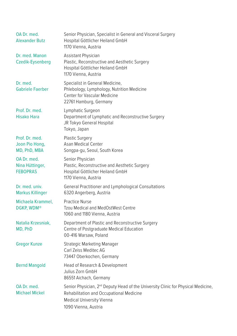| OA Dr. med.<br><b>Alexander Butz</b>              | Senior Physician, Specialist in General and Visceral Surgery<br>Hospital Göttlicher Heiland GmbH<br>1170 Vienna, Austria                                                                              |
|---------------------------------------------------|-------------------------------------------------------------------------------------------------------------------------------------------------------------------------------------------------------|
| Dr. med. Manon<br>Czedik-Eysenberg                | Assistant Physician<br>Plastic, Reconstructive and Aesthetic Surgery<br>Hospital Göttlicher Heiland GmbH<br>1170 Vienna, Austria                                                                      |
| Dr. med.<br><b>Gabriele Faerber</b>               | Specialist in General Medicine,<br>Phlebology, Lymphology, Nutrition Medicine<br>Center for Vascular Medicine<br>22761 Hamburg, Germany                                                               |
| Prof. Dr. med.<br><b>Hisako Hara</b>              | Lymphatic Surgeon<br>Department of Lymphatic and Reconstructive Surgery<br>JR Tokyo General Hospital<br>Tokyo, Japan                                                                                  |
| Prof. Dr. med.<br>Joon Pio Hong,<br>MD, PhD, MBA  | Plastic Surgery<br>Asan Medical Center<br>Songpa-gu, Seoul, South Korea                                                                                                                               |
| OA Dr. med.<br>Nina Hüttinger,<br><b>FEBOPRAS</b> | Senior Physician<br>Plastic, Reconstructive and Aesthetic Surgery<br>Hospital Göttlicher Heiland GmbH<br>1170 Vienna, Austria                                                                         |
| Dr. med. univ.<br><b>Markus Killinger</b>         | General Practitioner and Lymphological Consultations<br>6320 Angerberg, Austria                                                                                                                       |
| Michaela Krammel,<br>DGKP, WDM®                   | <b>Practice Nurse</b><br>Tzou Medical and MedOstWest Centre<br>1060 and 1180 Vienna, Austria                                                                                                          |
| Natalia Krzesniak,<br>MD, PhD                     | Department of Plastic and Reconstructive Surgery<br>Centre of Postgraduate Medical Education<br>00-416 Warsaw, Poland                                                                                 |
| <b>Gregor Kunze</b>                               | Strategic Marketing Manager<br>Carl Zeiss Meditec AG<br>73447 Oberkochen, Germany                                                                                                                     |
| <b>Bernd Mangold</b>                              | Head of Research & Development<br>Julius Zorn GmbH<br>86551 Aichach, Germany                                                                                                                          |
| OA Dr. med.<br><b>Michael Mickel</b>              | Senior Physician, 2 <sup>nd</sup> Deputy Head of the University Clinic for Physical Medicine,<br>Rehabilitation and Occupational Medicine<br><b>Medical University Vienna</b><br>1090 Vienna, Austria |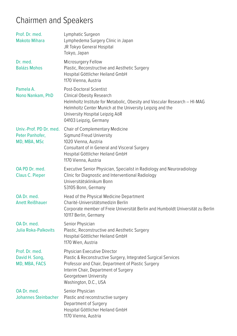## Chairmen and Speakers

| Prof. Dr. med.<br><b>Makoto Mihara</b>                     | Lymphatic Surgeon<br>Lymphedema Surgery Clinic in Japan<br>JR Tokyo General Hospital<br>Tokyo, Japan                                                                                                                                                        |
|------------------------------------------------------------|-------------------------------------------------------------------------------------------------------------------------------------------------------------------------------------------------------------------------------------------------------------|
| Dr. med.<br><b>Balázs Mohos</b>                            | Microsurgery Fellow<br>Plastic, Reconstructive and Aesthetic Surgery<br>Hospital Göttlicher Heiland GmbH<br>1170 Vienna, Austria                                                                                                                            |
| Pamela A.<br>Nono Nankam, PhD                              | Post-Doctoral Scientist<br>Clinical Obesity Research<br>Helmholtz Institute for Metabolic, Obesity and Vascular Research - HI-MAG<br>Helmholtz Center Munich at the University Leipzig and the<br>University Hospital Leipzig AöR<br>04103 Leipzig, Germany |
| Univ.-Prof. PD Dr. med.<br>Peter Panhofer,<br>MD, MBA, MSc | Chair of Complementary Medicine<br>Sigmund Freud University<br>1020 Vienna, Austria<br>Consultant of in General and Visceral Surgery<br>Hospital Göttlicher Heiland GmbH<br>1170 Vienna, Austria                                                            |
| OA PD Dr. med.<br>Claus C. Pieper                          | Executive Senior Physician, Specialist in Radiology and Neuroradiology<br>Clinic for Diagnostic and Interventional Radiology<br>Universitätsklinikum Bonn<br>53105 Bonn, Germany                                                                            |
| OA Dr. med.<br><b>Anett Reißhauer</b>                      | Head of the Physical Medicine Department<br>Charité-Universitätsmedizin Berlin<br>Corporate member of Freie Universität Berlin and Humboldt Universität zu Berlin<br>10117 Berlin, Germany                                                                  |
| OA Dr. med.<br>Julia Roka-Palkovits                        | Senior Physician<br>Plastic, Reconstructive and Aesthetic Surgery<br>Hospital Göttlicher Heiland GmbH<br>1170 Wien, Austria                                                                                                                                 |
| Prof. Dr. med.<br>David H. Song,<br>MD, MBA, FACS          | Physician Executive Director<br>Plastic & Reconstructive Surgery, Integrated Surgical Services<br>Professor and Chair, Department of Plastic Surgery<br>Interim Chair, Department of Surgery<br>Georgetown University<br>Washington, D.C., USA              |
| OA Dr. med.<br><b>Johannes Steinbacher</b>                 | Senior Physician<br>Plastic and reconstructive surgery<br>Department of Surgery<br>Hospital Göttlicher Heiland GmbH<br>1170 Vienna, Austria                                                                                                                 |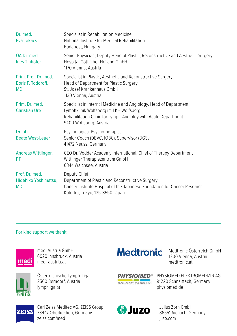| Dr. med.<br><b>Eva Takacs</b>                           | Specialist in Rehabilitation Medicine<br>National Institute for Medical Rehabilitation<br>Budapest, Hungary                                                                                              |
|---------------------------------------------------------|----------------------------------------------------------------------------------------------------------------------------------------------------------------------------------------------------------|
| OA Dr. med.<br><b>Ines Tinhofer</b>                     | Senior Physician, Deputy Head of Plastic, Reconstructive and Aesthetic Surgery<br>Hospital Göttlicher Heiland GmbH<br>1170 Vienna, Austria                                                               |
| Prim. Prof. Dr. med.<br>Boris P. Todoroff,<br><b>MD</b> | Specialist in Plastic, Aesthetic and Reconstructive Surgery<br>Head of Department for Plastic Surgery<br>St. Josef Krankenhaus GmbH<br>1130 Vienna, Austria                                              |
| Prim. Dr. med.<br><b>Christian Ure</b>                  | Specialist in Internal Medicine and Angiology, Head of Department<br>Lymphklinik Wolfsberg im LKH Wolfsberg<br>Rehabilitation Clinic for Lymph-Angiolgy with Acute Department<br>9400 Wolfsberg, Austria |
| Dr. phil.<br><b>Beate West-Leuer</b>                    | Psychological Psychotherapist<br>Senior Coach (DBVC, IOBC), Supervisor (DGSv)<br>41472 Neuss, Germany                                                                                                    |
| Andreas Wittlinger,<br>PT                               | CEO Dr. Vodder Academy International, Chief of Therapy Department<br>Wittlinger Therapiezentrum GmbH<br>6344 Walchsee, Austria                                                                           |
| Prof. Dr. med.<br>Hidehiko Yoshimatsu,<br><b>MD</b>     | Deputy Chief<br>Department of Plastic and Reconstructive Surgery<br>Cancer Institute Hospital of the Japanese Foundation for Cancer Research<br>Koto-ku, Tokyo, 135-8550 Japan                           |

#### For kind support we thank:



medi Austria GmbH 6020 Innsbruck, Austria [medi-austria.at](http://medi-austria.at)



Österreichische Lymph-Liga 2560 Berndorf, Austria [lymphliga.at](http://lymphliga.at)

## **Medtronic**

Medtronic Österreich GmbH 1200 Vienna, Austria [medtronic.at](http://medtronic.at)

**PHYSIOMED<sup>®</sup>** TECHNOLOGY FOR THERAPY

PHYSIOMED ELEKTROMEDIZIN AG 91220 Schnaittach, Germany [physiomed.de](http://physiomed.de)



Carl Zeiss Meditec AG, ZEISS Group 73447 Oberkochen, Germany [zeiss.com/med](http://zeiss.com/med)



Julius Zorn GmbH 86551 Aichach, Germany [juzo.com](http://juzo.com)